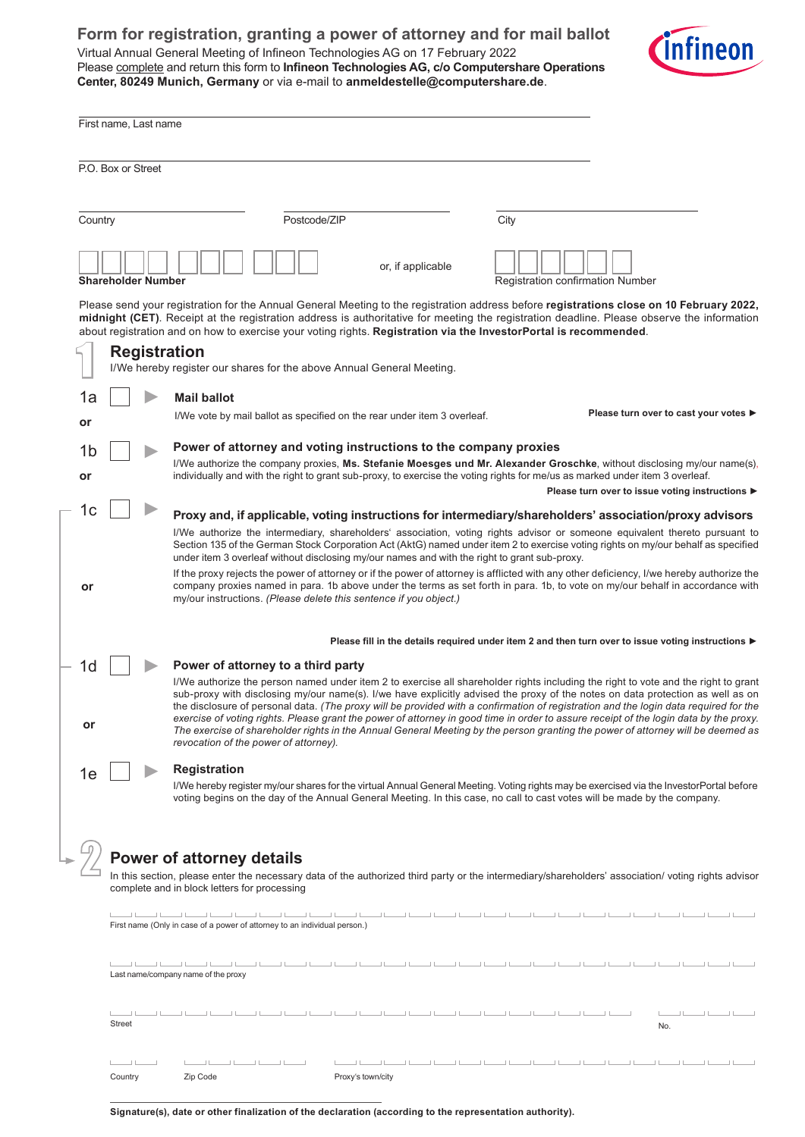## **Form for registration, granting a power of attorney and for mail ballot**

Virtual Annual General Meeting of Infineon Technologies AG on 17 February 2022 Please complete and return this form to **Infineon Technologies AG, c/o Computershare Operations Center, 80249 Munich, Germany** or via e-mail to **anmeldestelle@computershare.de**.



|                                                                                                                                                                                                                                                                                                                                                                                                             | First name, Last name                                                                                                                                                                                                                                                                                                                                                                                                                                                                                                                                                                                                                                                                                                                                                                                                         |                                                                                                                                                                                                                                                                                            |  |  |  |  |  |  |  |  |
|-------------------------------------------------------------------------------------------------------------------------------------------------------------------------------------------------------------------------------------------------------------------------------------------------------------------------------------------------------------------------------------------------------------|-------------------------------------------------------------------------------------------------------------------------------------------------------------------------------------------------------------------------------------------------------------------------------------------------------------------------------------------------------------------------------------------------------------------------------------------------------------------------------------------------------------------------------------------------------------------------------------------------------------------------------------------------------------------------------------------------------------------------------------------------------------------------------------------------------------------------------|--------------------------------------------------------------------------------------------------------------------------------------------------------------------------------------------------------------------------------------------------------------------------------------------|--|--|--|--|--|--|--|--|
|                                                                                                                                                                                                                                                                                                                                                                                                             | P.O. Box or Street                                                                                                                                                                                                                                                                                                                                                                                                                                                                                                                                                                                                                                                                                                                                                                                                            |                                                                                                                                                                                                                                                                                            |  |  |  |  |  |  |  |  |
| Postcode/ZIP<br>Country<br>City                                                                                                                                                                                                                                                                                                                                                                             |                                                                                                                                                                                                                                                                                                                                                                                                                                                                                                                                                                                                                                                                                                                                                                                                                               |                                                                                                                                                                                                                                                                                            |  |  |  |  |  |  |  |  |
|                                                                                                                                                                                                                                                                                                                                                                                                             | or, if applicable<br><b>Shareholder Number</b><br><b>Registration confirmation Number</b>                                                                                                                                                                                                                                                                                                                                                                                                                                                                                                                                                                                                                                                                                                                                     |                                                                                                                                                                                                                                                                                            |  |  |  |  |  |  |  |  |
| Please send your registration for the Annual General Meeting to the registration address before registrations close on 10 February 2022,<br>midnight (CET). Receipt at the registration address is authoritative for meeting the registration deadline. Please observe the information<br>about registration and on how to exercise your voting rights. Registration via the InvestorPortal is recommended. |                                                                                                                                                                                                                                                                                                                                                                                                                                                                                                                                                                                                                                                                                                                                                                                                                               |                                                                                                                                                                                                                                                                                            |  |  |  |  |  |  |  |  |
|                                                                                                                                                                                                                                                                                                                                                                                                             | <b>Registration</b><br>I/We hereby register our shares for the above Annual General Meeting.                                                                                                                                                                                                                                                                                                                                                                                                                                                                                                                                                                                                                                                                                                                                  |                                                                                                                                                                                                                                                                                            |  |  |  |  |  |  |  |  |
| 1a                                                                                                                                                                                                                                                                                                                                                                                                          |                                                                                                                                                                                                                                                                                                                                                                                                                                                                                                                                                                                                                                                                                                                                                                                                                               | <b>Mail ballot</b>                                                                                                                                                                                                                                                                         |  |  |  |  |  |  |  |  |
| or                                                                                                                                                                                                                                                                                                                                                                                                          |                                                                                                                                                                                                                                                                                                                                                                                                                                                                                                                                                                                                                                                                                                                                                                                                                               | Please turn over to cast your votes ▶<br>I/We vote by mail ballot as specified on the rear under item 3 overleaf.                                                                                                                                                                          |  |  |  |  |  |  |  |  |
| 1b                                                                                                                                                                                                                                                                                                                                                                                                          |                                                                                                                                                                                                                                                                                                                                                                                                                                                                                                                                                                                                                                                                                                                                                                                                                               | Power of attorney and voting instructions to the company proxies                                                                                                                                                                                                                           |  |  |  |  |  |  |  |  |
| or                                                                                                                                                                                                                                                                                                                                                                                                          | I/We authorize the company proxies, Ms. Stefanie Moesges und Mr. Alexander Groschke, without disclosing my/our name(s),<br>individually and with the right to grant sub-proxy, to exercise the voting rights for me/us as marked under item 3 overleaf.                                                                                                                                                                                                                                                                                                                                                                                                                                                                                                                                                                       |                                                                                                                                                                                                                                                                                            |  |  |  |  |  |  |  |  |
| 1c                                                                                                                                                                                                                                                                                                                                                                                                          |                                                                                                                                                                                                                                                                                                                                                                                                                                                                                                                                                                                                                                                                                                                                                                                                                               | Please turn over to issue voting instructions ▶                                                                                                                                                                                                                                            |  |  |  |  |  |  |  |  |
| or                                                                                                                                                                                                                                                                                                                                                                                                          | Proxy and, if applicable, voting instructions for intermediary/shareholders' association/proxy advisors<br>I/We authorize the intermediary, shareholders' association, voting rights advisor or someone equivalent thereto pursuant to<br>Section 135 of the German Stock Corporation Act (AktG) named under item 2 to exercise voting rights on my/our behalf as specified<br>under item 3 overleaf without disclosing my/our names and with the right to grant sub-proxy.<br>If the proxy rejects the power of attorney or if the power of attorney is afflicted with any other deficiency, I/we hereby authorize the<br>company proxies named in para. 1b above under the terms as set forth in para. 1b, to vote on my/our behalf in accordance with<br>my/our instructions. (Please delete this sentence if you object.) |                                                                                                                                                                                                                                                                                            |  |  |  |  |  |  |  |  |
|                                                                                                                                                                                                                                                                                                                                                                                                             |                                                                                                                                                                                                                                                                                                                                                                                                                                                                                                                                                                                                                                                                                                                                                                                                                               | Please fill in the details required under item 2 and then turn over to issue voting instructions ▶                                                                                                                                                                                         |  |  |  |  |  |  |  |  |
| 1d<br>or                                                                                                                                                                                                                                                                                                                                                                                                    | Power of attorney to a third party<br>I/We authorize the person named under item 2 to exercise all shareholder rights including the right to vote and the right to grant<br>sub-proxy with disclosing my/our name(s). I/we have explicitly advised the proxy of the notes on data protection as well as on<br>the disclosure of personal data. (The proxy will be provided with a confirmation of registration and the login data required for the<br>exercise of voting rights. Please grant the power of attorney in good time in order to assure receipt of the login data by the proxy.<br>The exercise of shareholder rights in the Annual General Meeting by the person granting the power of attorney will be deemed as<br>revocation of the power of attorney).                                                       |                                                                                                                                                                                                                                                                                            |  |  |  |  |  |  |  |  |
| 1е                                                                                                                                                                                                                                                                                                                                                                                                          |                                                                                                                                                                                                                                                                                                                                                                                                                                                                                                                                                                                                                                                                                                                                                                                                                               | <b>Registration</b><br>I/We hereby register my/our shares for the virtual Annual General Meeting. Voting rights may be exercised via the InvestorPortal before<br>voting begins on the day of the Annual General Meeting. In this case, no call to cast votes will be made by the company. |  |  |  |  |  |  |  |  |
|                                                                                                                                                                                                                                                                                                                                                                                                             | <b>Power of attorney details</b><br>In this section, please enter the necessary data of the authorized third party or the intermediary/shareholders' association/ voting rights advisor<br>complete and in block letters for processing<br>2012 - 2012 - 2012 -<br>كالمستنا لينتسب المستنا لمناصر<br>---<br>$\perp$<br>First name (Only in case of a power of attorney to an individual person.)                                                                                                                                                                                                                                                                                                                                                                                                                              |                                                                                                                                                                                                                                                                                            |  |  |  |  |  |  |  |  |
|                                                                                                                                                                                                                                                                                                                                                                                                             | Last name/company name of the proxy                                                                                                                                                                                                                                                                                                                                                                                                                                                                                                                                                                                                                                                                                                                                                                                           |                                                                                                                                                                                                                                                                                            |  |  |  |  |  |  |  |  |
|                                                                                                                                                                                                                                                                                                                                                                                                             | ┙┕<br>Street<br>No.                                                                                                                                                                                                                                                                                                                                                                                                                                                                                                                                                                                                                                                                                                                                                                                                           |                                                                                                                                                                                                                                                                                            |  |  |  |  |  |  |  |  |

**Signature(s), date or other finalization of the declaration (according to the representation authority).**

 $\mathbb{R}$ 

 $\perp$  $\perp$  L والمستوا فتنبيها وتستبيع فيستبع فيستنا فيستوف

 $\bot$  $\Box$  $\perp$  $\perp$ 

Country **Zip Code Proxy's town/city** 

 $\perp$ 

 $\pm$ 

 $\perp$  $\overline{\phantom{a}}$ 

 $\mathbf{I}$ 

<u>alam alam k</u>